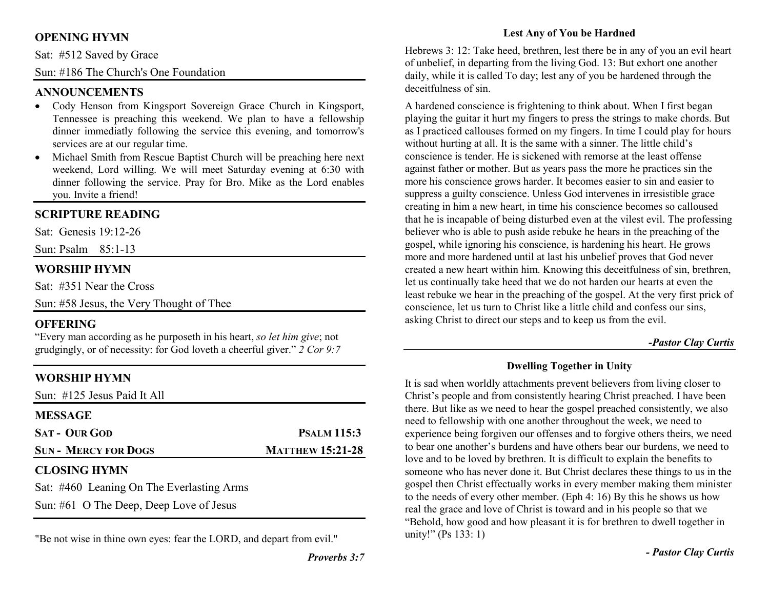# **OPENING HYMN**

Sat: #512 Saved by Grace

Sun: #186 The Church's One Foundation

# **ANNOUNCEMENTS**

- Cody Henson from Kingsport Sovereign Grace Church in Kingsport, Tennessee is preaching this weekend. We plan to have a fellowship dinner immediatly following the service this evening, and tomorrow's services are at our regular time.
- Michael Smith from Rescue Baptist Church will be preaching here next •weekend, Lord willing. We will meet Saturday evening at 6:30 with dinner following the service. Pray for Bro. Mike as the Lord enables you. Invite a friend!

# **SCRIPTURE READING**

Sat: Genesis 19:12-26

Sun: Psalm 85:1-13

# **WORSHIP HYMN**

Sat: #351 Near the Cross

Sun: #58 Jesus, the Very Thought of Thee

# **OFFERING**

 "Every man according as he purposeth in his heart, *so let him give*; not grudgingly, or of necessity: for God loveth a cheerful giver." *2 Cor 9:7*

# **WORSHIP HYMN**

Sun: #125 Jesus Paid It All

| <b>MESSAGE</b>                            |                         |
|-------------------------------------------|-------------------------|
| <b>SAT - OUR GOD</b>                      | <b>PSALM 115:3</b>      |
| <b>SUN - MERCY FOR DOGS</b>               | <b>MATTHEW 15:21-28</b> |
| <b>CLOSING HYMN</b>                       |                         |
| Sat: #460 Leaning On The Everlasting Arms |                         |

Sun: #61 O The Deep, Deep Love of Jesus

"Be not wise in thine own eyes: fear the LORD, and depart from evil."

## **Lest Any of You be Hardned**

Hebrews 3: 12: Take heed, brethren, lest there be in any of you an evil heart of unbelief, in departing from the living God. 13: But exhort one another daily, while it is called To day; lest any of you be hardened through the deceitfulness of sin.

A hardened conscience is frightening to think about. When I first began playing the guitar it hurt my fingers to press the strings to make chords. But as I practiced callouses formed on my fingers. In time I could play for hours without hurting at all. It is the same with a sinner. The little child's conscience is tender. He is sickened with remorse at the least offense against father or mother. But as years pass the more he practices sin the more his conscience grows harder. It becomes easier to sin and easier to suppress a guilty conscience. Unless God intervenes in irresistible grace creating in him a new heart, in time his conscience becomes so calloused that he is incapable of being disturbed even at the vilest evil. The professing believer who is able to push aside rebuke he hears in the preaching of the gospel, while ignoring his conscience, is hardening his heart. He grows more and more hardened until at last his unbelief proves that God never created a new heart within him. Knowing this deceitfulness of sin, brethren, let us continually take heed that we do not harden our hearts at even the least rebuke we hear in the preaching of the gospel. At the very first prick of conscience, let us turn to Christ like a little child and confess our sins, asking Christ to direct our steps and to keep us from the evil.

#### *-Pastor Clay Curtis*

## **Dwelling Together in Unity**

It is sad when worldly attachments prevent believers from living closer to Christ's people and from consistently hearing Christ preached. I have been there. But like as we need to hear the gospel preached consistently, we also need to fellowship with one another throughout the week, we need to experience being forgiven our offenses and to forgive others theirs, we need to bear one another's burdens and have others bear our burdens, we need to love and to be loved by brethren. It is difficult to explain the benefits to someone who has never done it. But Christ declares these things to us in the gospel then Christ effectually works in every member making them minister to the needs of every other member. (Eph 4: 16) By this he shows us how real the grace and love of Christ is toward and in his people so that we "Behold, how good and how pleasant it is for brethren to dwell together in unity!" (Ps 133: 1)